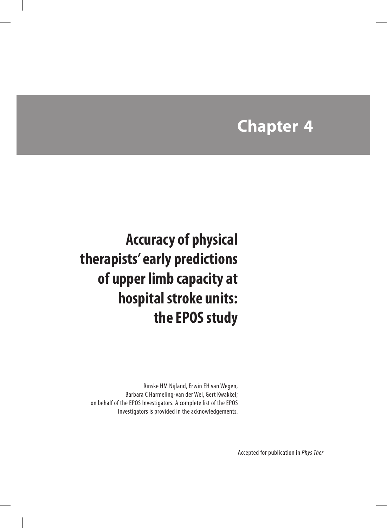# **Chapter 4**

**Accuracy of physical therapists' early predictions of upper limb capacity at hospital stroke units: the EPOS study**

Rinske HM Nijland, Erwin EH van Wegen, Barbara C Harmeling-van der Wel, Gert Kwakkel; on behalf of the EPOS Investigators. A complete list of the EPOS Investigators is provided in the acknowledgements.

Accepted for publication in *Phys Ther*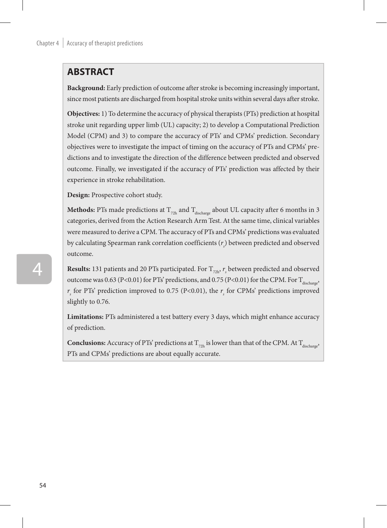# **ABSTRACT**

**Background:** Early prediction of outcome after stroke is becoming increasingly important, since most patients are discharged from hospital stroke units within several days after stroke.

**Objectives:** 1) To determine the accuracy of physical therapists (PTs) prediction at hospital stroke unit regarding upper limb (UL) capacity; 2) to develop a Computational Prediction Model (CPM) and 3) to compare the accuracy of PTs' and CPMs' prediction. Secondary objectives were to investigate the impact of timing on the accuracy of PTs and CPMs' predictions and to investigate the direction of the difference between predicted and observed outcome. Finally, we investigated if the accuracy of PTs' prediction was affected by their experience in stroke rehabilitation.

**Design:** Prospective cohort study.

**Methods:** PTs made predictions at  $T_{72h}$  and  $T_{discharge}$  about UL capacity after 6 months in 3 categories, derived from the Action Research Arm Test. At the same time, clinical variables were measured to derive a CPM. The accuracy of PTs and CPMs' predictions was evaluated by calculating Spearman rank correlation coefficients (*r*<sub>s</sub>) between predicted and observed outcome.

**Results:** 131 patients and 20 PTs participated. For  $T_{\text{72h}}$ ,  $r_{\text{s}}$  between predicted and observed outcome was 0.63 (P<0.01) for PTs' predictions, and 0.75 (P<0.01) for the CPM. For  $T_{discharge}$ ,  $r<sub>s</sub>$  for PTs' prediction improved to 0.75 (P<0.01), the  $r<sub>s</sub>$  for CPMs' predictions improved slightly to 0.76.

**Limitations:** PTs administered a test battery every 3 days, which might enhance accuracy of prediction.

**Conclusions:** Accuracy of PTs' predictions at  $T_{72h}$  is lower than that of the CPM. At  $T_{discharge}$ , PTs and CPMs' predictions are about equally accurate.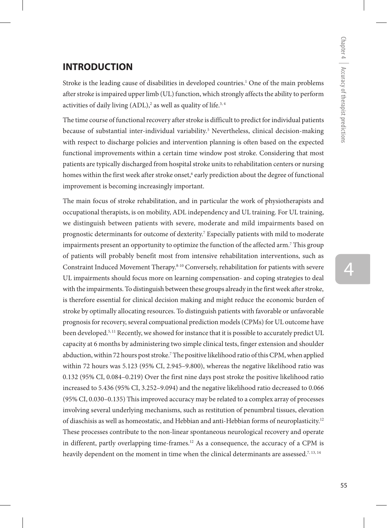## **INTRODUCTION**

Stroke is the leading cause of disabilities in developed countries.1 One of the main problems after stroke is impaired upper limb (UL) function, which strongly affects the ability to perform activities of daily living (ADL), $^2$  as well as quality of life. $^{3,4}$ 

The time course of functional recovery after stroke is difficult to predict for individual patients because of substantial inter-individual variability.5 Nevertheless, clinical decision-making with respect to discharge policies and intervention planning is often based on the expected functional improvements within a certain time window post stroke. Considering that most patients are typically discharged from hospital stroke units to rehabilitation centers or nursing homes within the first week after stroke onset,<sup>6</sup> early prediction about the degree of functional improvement is becoming increasingly important.

The main focus of stroke rehabilitation, and in particular the work of physiotherapists and occupational therapists, is on mobility, ADL independency and UL training. For UL training, we distinguish between patients with severe, moderate and mild impairments based on prognostic determinants for outcome of dexterity.<sup>7</sup> Especially patients with mild to moderate impairments present an opportunity to optimize the function of the affected arm.7 This group of patients will probably benefit most from intensive rehabilitation interventions, such as Constraint Induced Movement Therapy.8-10 Conversely, rehabilitation for patients with severe UL impairments should focus more on learning compensation- and coping strategies to deal with the impairments. To distinguish between these groups already in the first week after stroke, is therefore essential for clinical decision making and might reduce the economic burden of stroke by optimally allocating resources. To distinguish patients with favorable or unfavorable prognosis for recovery, several compuational prediction models (CPMs) for UL outcome have been developed.<sup>5, 11</sup> Recently, we showed for instance that it is possible to accurately predict UL capacity at 6 months by administering two simple clinical tests, finger extension and shoulder abduction, within 72 hours post stroke.7 The positive likelihood ratio of this CPM, when applied within 72 hours was 5.123 (95% CI, 2.945–9.800), whereas the negative likelihood ratio was 0.132 (95% CI, 0.084–0.219) Over the first nine days post stroke the positive likelihood ratio increased to 5.436 (95% CI, 3.252–9.094) and the negative likelihood ratio decreased to 0.066 (95% CI, 0.030–0.135) This improved accuracy may be related to a complex array of processes involving several underlying mechanisms, such as restitution of penumbral tissues, elevation of diaschisis as well as homeostatic, and Hebbian and anti-Hebbian forms of neuroplasticity.12 These processes contribute to the non-linear spontaneous neurological recovery and operate in different, partly overlapping time-frames.12 As a consequence, the accuracy of a CPM is heavily dependent on the moment in time when the clinical determinants are assessed.<sup>7, 13, 14</sup>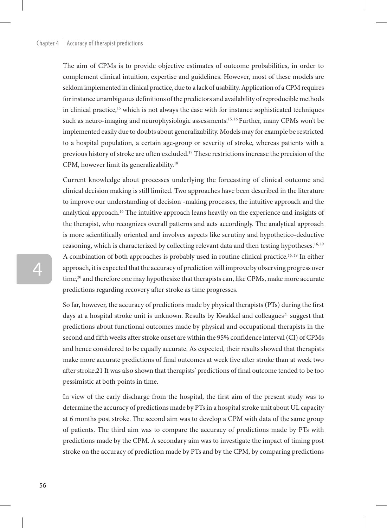The aim of CPMs is to provide objective estimates of outcome probabilities, in order to complement clinical intuition, expertise and guidelines. However, most of these models are seldom implemented in clinical practice, due to a lack of usability. Application of a CPM requires for instance unambiguous definitions of the predictors and availability of reproducible methods in clinical practice, $15$  which is not always the case with for instance sophisticated techniques such as neuro-imaging and neurophysiologic assessments.<sup>15, 16</sup> Further, many CPMs won't be implemented easily due to doubts about generalizability. Models may for example be restricted to a hospital population, a certain age-group or severity of stroke, whereas patients with a previous history of stroke are often excluded.17 These restrictions increase the precision of the CPM, however limit its generalizability.18

Current knowledge about processes underlying the forecasting of clinical outcome and clinical decision making is still limited. Two approaches have been described in the literature to improve our understanding of decision -making processes, the intuitive approach and the analytical approach.16 The intuitive approach leans heavily on the experience and insights of the therapist, who recognizes overall patterns and acts accordingly. The analytical approach is more scientifically oriented and involves aspects like scrutiny and hypothetico-deductive reasoning, which is characterized by collecting relevant data and then testing hypotheses.16, 19 A combination of both approaches is probably used in routine clinical practice.16, 19 In either approach, it is expected that the accuracy of prediction will improve by observing progress over time,<sup>20</sup> and therefore one may hypothesize that therapists can, like CPMs, make more accurate predictions regarding recovery after stroke as time progresses.

So far, however, the accuracy of predictions made by physical therapists (PTs) during the first days at a hospital stroke unit is unknown. Results by Kwakkel and colleagues<sup>21</sup> suggest that predictions about functional outcomes made by physical and occupational therapists in the second and fifth weeks after stroke onset are within the 95% confidence interval (CI) of CPMs and hence considered to be equally accurate. As expected, their results showed that therapists make more accurate predictions of final outcomes at week five after stroke than at week two after stroke.21 It was also shown that therapists' predictions of final outcome tended to be too pessimistic at both points in time.

In view of the early discharge from the hospital, the first aim of the present study was to determine the accuracy of predictions made by PTs in a hospital stroke unit about UL capacity at 6 months post stroke. The second aim was to develop a CPM with data of the same group of patients. The third aim was to compare the accuracy of predictions made by PTs with predictions made by the CPM. A secondary aim was to investigate the impact of timing post stroke on the accuracy of prediction made by PTs and by the CPM, by comparing predictions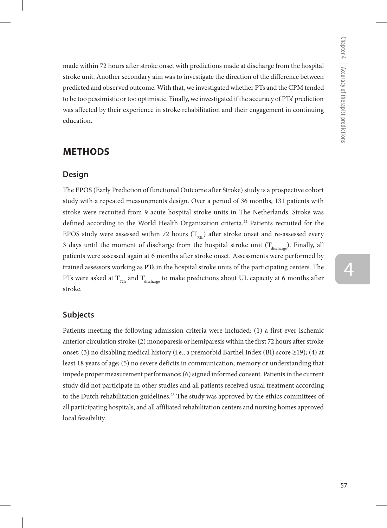made within 72 hours after stroke onset with predictions made at discharge from the hospital stroke unit. Another secondary aim was to investigate the direction of the difference between predicted and observed outcome. With that, we investigated whether PTs and the CPM tended to be too pessimistic or too optimistic. Finally, we investigated if the accuracy of PTs' prediction was affected by their experience in stroke rehabilitation and their engagement in continuing education.

# **methods**

## **Design**

The EPOS (Early Prediction of functional Outcome after Stroke) study is a prospective cohort study with a repeated measurements design. Over a period of 36 months, 131 patients with stroke were recruited from 9 acute hospital stroke units in The Netherlands. Stroke was defined according to the World Health Organization criteria.<sup>22</sup> Patients recruited for the EPOS study were assessed within 72 hours  $(T_{72h})$  after stroke onset and re-assessed every 3 days until the moment of discharge from the hospital stroke unit  $(T_{discharge})$ . Finally, all patients were assessed again at 6 months after stroke onset. Assessments were performed by trained assessors working as PTs in the hospital stroke units of the participating centers. The PTs were asked at  $T_{72h}$  and  $T_{discharge}$  to make predictions about UL capacity at 6 months after stroke.

## **Subjects**

Patients meeting the following admission criteria were included: (1) a first-ever ischemic anterior circulation stroke; (2) monoparesis or hemiparesis within the first 72 hours after stroke onset; (3) no disabling medical history (i.e., a premorbid Barthel Index (BI) score  $\geq$ 19); (4) at least 18 years of age; (5) no severe deficits in communication, memory or understanding that impede proper measurement performance; (6) signed informed consent. Patients in the current study did not participate in other studies and all patients received usual treatment according to the Dutch rehabilitation guidelines.<sup>23</sup> The study was approved by the ethics committees of all participating hospitals, and all affiliated rehabilitation centers and nursing homes approved local feasibility.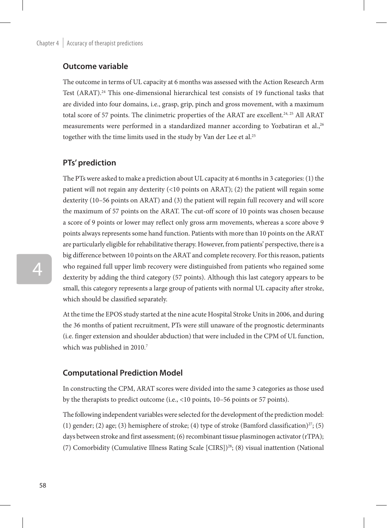## **Outcome variable**

The outcome in terms of UL capacity at 6 months was assessed with the Action Research Arm Test (ARAT).24 This one-dimensional hierarchical test consists of 19 functional tasks that are divided into four domains, i.e., grasp, grip, pinch and gross movement, with a maximum total score of 57 points. The clinimetric properties of the ARAT are excellent.<sup>24, 25</sup> All ARAT measurements were performed in a standardized manner according to Yozbatiran et al.,<sup>26</sup> together with the time limits used in the study by Van der Lee et al.<sup>25</sup>

## **PTs' prediction**

The PTs were asked to make a prediction about UL capacity at 6 months in 3 categories: (1) the patient will not regain any dexterity (<10 points on ARAT); (2) the patient will regain some dexterity (10–56 points on ARAT) and (3) the patient will regain full recovery and will score the maximum of 57 points on the ARAT. The cut-off score of 10 points was chosen because a score of 9 points or lower may reflect only gross arm movements, whereas a score above 9 points always represents some hand function. Patients with more than 10 points on the ARAT are particularly eligible for rehabilitative therapy. However, from patients' perspective, there is a big difference between 10 points on the ARAT and complete recovery. For this reason, patients who regained full upper limb recovery were distinguished from patients who regained some dexterity by adding the third category (57 points). Although this last category appears to be small, this category represents a large group of patients with normal UL capacity after stroke, which should be classified separately.

At the time the EPOS study started at the nine acute Hospital Stroke Units in 2006, and during the 36 months of patient recruitment, PTs were still unaware of the prognostic determinants (i.e. finger extension and shoulder abduction) that were included in the CPM of UL function, which was published in 2010.<sup>7</sup>

## **Computational Prediction Model**

In constructing the CPM, ARAT scores were divided into the same 3 categories as those used by the therapists to predict outcome (i.e., <10 points, 10–56 points or 57 points).

The following independent variables were selected for the development of the prediction model: (1) gender; (2) age; (3) hemisphere of stroke; (4) type of stroke (Bamford classification)<sup>27</sup>; (5) days between stroke and first assessment; (6) recombinant tissue plasminogen activator (rTPA); (7) Comorbidity (Cumulative Illness Rating Scale [CIRS])28; (8) visual inattention (National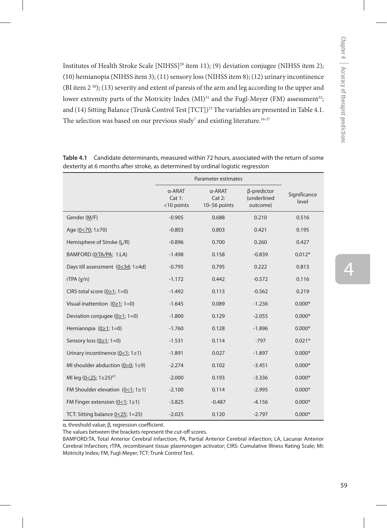Institutes of Health Stroke Scale [NIHSS]<sup>29</sup> item 11); (9) deviation conjugee (NIHSS item 2); (10) hemianopia (NIHSS item 3); (11) sensory loss (NIHSS item 8); (12) urinary incontinence (BI item 2 30); (13) severity and extent of paresis of the arm and leg according to the upper and lower extremity parts of the Motricity Index  $(MI)^{31}$  and the Fugl-Meyer (FM) assessment<sup>32</sup>; and (14) Sitting Balance (Trunk Control Test [TCT])<sup>33</sup> The variables are presented in Table 4.1. The selection was based on our previous study $^7$  and existing literature. $^{34\cdot 37}$ 

|                                         | Parameter estimates            |                                  |                                        |                       |
|-----------------------------------------|--------------------------------|----------------------------------|----------------------------------------|-----------------------|
|                                         | α-ARAT<br>Cat 1:<br><10 points | α-ARAT<br>Cat 2:<br>10-56 points | β-predictor<br>(underlined<br>outcome) | Significance<br>level |
| Gender (M/F)                            | $-0.905$                       | 0.688                            | 0.210                                  | 0.516                 |
| Age $(0<70; 1 \ge 70)$                  | $-0.803$                       | 0.803                            | 0.421                                  | 0.195                 |
| Hemisphere of Stroke (L/R)              | $-0.896$                       | 0.700                            | 0.260                                  | 0.427                 |
| BAMFORD (0:TA/PA; 1:LA)                 | $-1.498$                       | 0.158                            | $-0.839$                               | $0.012*$              |
| Days till assessment (0≤3d; 1≥4d)       | $-0.795$                       | 0.795                            | 0.222                                  | 0.813                 |
| rTPA(y/n)                               | $-1.172$                       | 0.442                            | $-0.572$                               | 0.116                 |
| CIRS total score $(0 \ge 1; 1=0)$       | $-1.492$                       | 0.113                            | $-0.562$                               | 0.219                 |
| Visual inattention $(0 \ge 1; 1=0)$     | $-1.645$                       | 0.089                            | $-1.236$                               | $0.000*$              |
| Deviation conjugee $(0 \ge 1; 1=0)$     | $-1.800$                       | 0.129                            | $-2.055$                               | $0.000*$              |
| Hemianopia $(0 \ge 1; 1=0)$             | $-1.760$                       | 0.128                            | $-1.896$                               | $0.000*$              |
| Sensory loss $(0 \ge 1; 1=0)$           | $-1.531$                       | 0.114                            | $-797$                                 | $0.021*$              |
| Urinary incontinence $(0<1; 1\ge 1)$    | $-1.891$                       | 0.027                            | $-1.897$                               | $0.000*$              |
| MI shoulder abduction (0=0; $1 \ge 9$ ) | $-2.274$                       | 0.102                            | $-3.451$                               | $0.000*$              |
| MI leg (0<25; 1≥25) <sup>47</sup>       | $-2.000$                       | 0.193                            | $-3.336$                               | $0.000*$              |
| FM Shoulder elevation $(0<1; 1\ge 1)$   | $-2.100$                       | 0.114                            | $-2.995$                               | $0.000*$              |
| FM Finger extension $(0<1; 1\ge 1)$     | $-3.825$                       | $-0.487$                         | $-4.156$                               | $0.000*$              |
| TCT: Sitting balance 0<25; 1=25)        | $-2.025$                       | 0.120                            | $-2.797$                               | $0.000*$              |

**Table 4.1** Candidate determinants, measured within 72 hours, associated with the return of some dexterity at 6 months after stroke, as determined by ordinal logistic regression

α, threshold value; β, regression coefficient.

The values between the brackets represent the cut-off scores.

BAMFORD:TA, Total Anterior Cerebral Infarction; PA, Partial Anterior Cerebral infarction; LA, Lacunar Anterior Cerebral Infarction; rTPA, recombinant tissue plasminogen activator; CIRS: Cumulative Illness Rating Scale; MI: Motricity Index; FM, Fugl-Meyer; TCT: Trunk Control Test.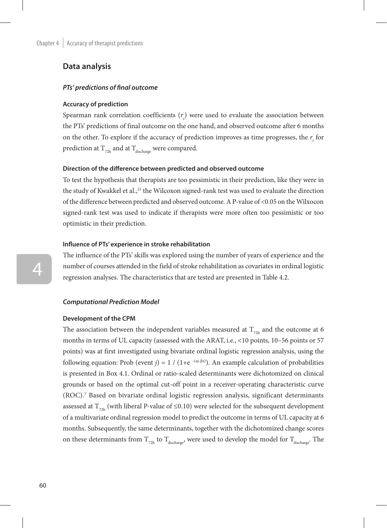### **Data analysis**

#### *PTs' predictions of final outcome*

#### **Accuracy of prediction**

Spearman rank correlation coefficients  $(r<sub>s</sub>)$  were used to evaluate the association between the PTs' predictions of final outcome on the one hand, and observed outcome after 6 months on the other. To explore if the accuracy of prediction improves as time progresses, the  $r<sub>s</sub>$  for prediction at  $T_{72h}$  and at  $T_{discharge}$  were compared.

#### **Direction of the difference between predicted and observed outcome**

To test the hypothesis that therapists are too pessimistic in their prediction, like they were in the study of Kwakkel et al.,<sup>21</sup> the Wilcoxon signed-rank test was used to evaluate the direction of the difference between predicted and observed outcome. A P-value of <0.05 on the Wilxocon signed-rank test was used to indicate if therapists were more often too pessimistic or too optimistic in their prediction.

#### **Influence of PTs' experience in stroke rehabilitation**

The influence of the PTs' skills was explored using the number of years of experience and the number of courses attended in the field of stroke rehabilitation as covariates in ordinal logistic regression analyses. The characteristics that are tested are presented in Table 4.2.

#### *Computational Prediction Model*

#### **Development of the CPM**

The association between the independent variables measured at  $T_{72h}$  and the outcome at 6 months in terms of UL capacity (assessed with the ARAT, i.e., <10 points, 10–56 points or 57 points) was at first investigated using bivariate ordinal logistic regression analysis, using the following equation: Prob (event *j*) = 1 / (1+e<sup> $-(\alpha j-\beta x)$ ). An example calculation of probabilities</sup> is presented in Box 4.1. Ordinal or ratio-scaled determinants were dichotomized on clinical grounds or based on the optimal cut-off point in a receiver-operating characteristic curve (ROC).7 Based on bivariate ordinal logistic regression analysis, significant determinants assessed at  $T_{72h}$  (with liberal P-value of ≤0.10) were selected for the subsequent development of a multivariate ordinal regression model to predict the outcome in terms of UL capacity at 6 months. Subsequently, the same determinants, together with the dichotomized change scores on these determinants from  $T_{72h}$  to  $T_{discharge}$ , were used to develop the model for  $T_{discharge}$ . The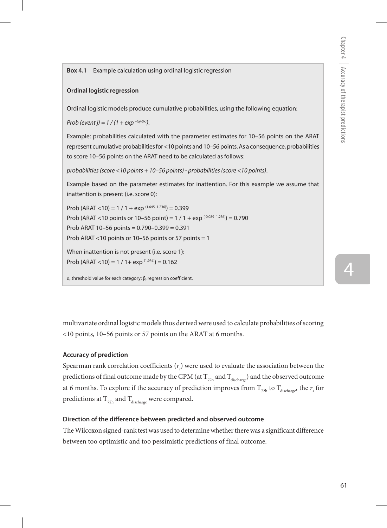4

**Box 4.1** Example calculation using ordinal logistic regression

#### **Ordinal logistic regression**

Ordinal logistic models produce cumulative probabilities, using the following equation:

*Prob (event j) = 1 / (1 + exp –(αj-βx))*.

Example: probabilities calculated with the parameter estimates for 10–56 points on the ARAT represent cumulative probabilities for <10 points and 10–56 points. As a consequence, probabilities to score 10–56 points on the ARAT need to be calculated as follows:

*probabilities (score <10 points + 10–56 points) - probabilities (score <10 points)*.

Example based on the parameter estimates for inattention. For this example we assume that inattention is present (i.e. score 0):

Prob (ARAT <10) = 1 / 1 + exp  $(1.645-1.236)$ ) = 0.399 Prob (ARAT <10 points or 10–56 point) =  $1/1 + \exp^{(0.089 - 1.236)}$  = 0.790 Prob ARAT 10–56 points = 0.790–0.399 = 0.391 Prob ARAT <10 points or 10–56 points or 57 points = 1

When inattention is not present (i.e. score 1): Prob (ARAT <10) =  $1 / 1 + \exp(1.645) = 0.162$ 

α, threshold value for each category; β, regression coefficient.

multivariate ordinal logistic models thus derived were used to calculate probabilities of scoring <10 points, 10–56 points or 57 points on the ARAT at 6 months.

#### **Accuracy of prediction**

Spearman rank correlation coefficients  $(r_{s})$  were used to evaluate the association between the predictions of final outcome made by the CPM (at  $T_{22h}$  and  $T_{discharge}$ ) and the observed outcome at 6 months. To explore if the accuracy of prediction improves from  $\rm T_{_{72h}}$  to  $\rm T_{_{discharge}}$ , the  $\rm \prime_{_{s}}$  for predictions at  $\rm T_{_{72h}}$  and  $\rm T_{discharge}$  were compared.

#### **Direction of the difference between predicted and observed outcome**

The Wilcoxon signed-rank test was used to determine whether there was a significant difference between too optimistic and too pessimistic predictions of final outcome.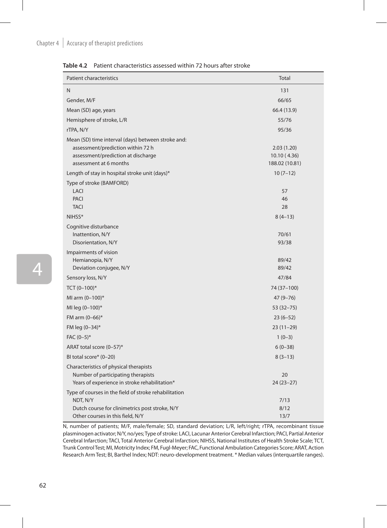# Chapter  $4 \mid$  Accuracy of therapist predictions

| <b>Patient characteristics</b>                                                                                                                          | Total                                       |
|---------------------------------------------------------------------------------------------------------------------------------------------------------|---------------------------------------------|
| N.                                                                                                                                                      | 131                                         |
| Gender, M/F                                                                                                                                             | 66/65                                       |
| Mean (SD) age, years                                                                                                                                    | 66.4 (13.9)                                 |
| Hemisphere of stroke, L/R                                                                                                                               | 55/76                                       |
| rTPA, N/Y                                                                                                                                               | 95/36                                       |
| Mean (SD) time interval (days) between stroke and:<br>assessment/prediction within 72 h<br>assessment/prediction at discharge<br>assessment at 6 months | 2.03(1.20)<br>10.10(4.36)<br>188.02 (10.81) |
| Length of stay in hospital stroke unit (days)*                                                                                                          | $10(7-12)$                                  |
| Type of stroke (BAMFORD)<br><b>LACI</b><br><b>PACI</b><br><b>TACI</b>                                                                                   | 57<br>46<br>28                              |
| NIHSS*                                                                                                                                                  | $8(4-13)$                                   |
| Cognitive disturbance<br>Inattention, N/Y<br>Disorientation, N/Y                                                                                        | 70/61<br>93/38                              |
| Impairments of vision<br>Hemianopia, N/Y<br>Deviation conjugee, N/Y                                                                                     | 89/42<br>89/42                              |
| Sensory loss, N/Y                                                                                                                                       | 47/84                                       |
| TCT $(0-100)*$                                                                                                                                          | 74 (37-100)                                 |
| MI arm (0-100)*                                                                                                                                         | $47(9 - 76)$                                |
| MI leg (0-100)*                                                                                                                                         | $53(32 - 75)$                               |
| FM arm (0-66)*                                                                                                                                          | $23(6-52)$                                  |
| FM leg (0-34)*                                                                                                                                          | $23(11-29)$                                 |
| $FAC (0-5)*$                                                                                                                                            | $1(0-3)$                                    |
| ARAT total score (0-57)*                                                                                                                                | $6(0-38)$                                   |
| BI total score* (0-20)                                                                                                                                  | $8(3-13)$                                   |
| Characteristics of physical therapists<br>Number of participating therapists<br>Years of experience in stroke rehabilitation*                           | 20<br>$24(23-27)$                           |
| Type of courses in the field of stroke rehabilitation                                                                                                   |                                             |
| NDT, N/Y                                                                                                                                                | 7/13                                        |
| Dutch course for clinimetrics post stroke, N/Y<br>Other courses in this field, N/Y                                                                      | 8/12<br>13/7                                |

**Table 4.2** Patient characteristics assessed within 72 hours after stroke

N, number of patients; M/F, male/female; SD, standard deviation; L/R, left/right; rTPA, recombinant tissue plasminogen activator; N/Y, no/yes; Type of stroke: LACI, Lacunar Anterior Cerebral Infarction; PACI, Partial Anterior Cerebral Infarction; TACI, Total Anterior Cerebral Infarction; NIHSS, National Institutes of Health Stroke Scale; TCT, Trunk Control Test; MI, Motricity Index; FM, Fugl-Meyer; FAC, Functional Ambulation Categories Score; ARAT, Action Research Arm Test; BI, Barthel Index; NDT: neuro-development treatment. \* Median values (interquartile ranges).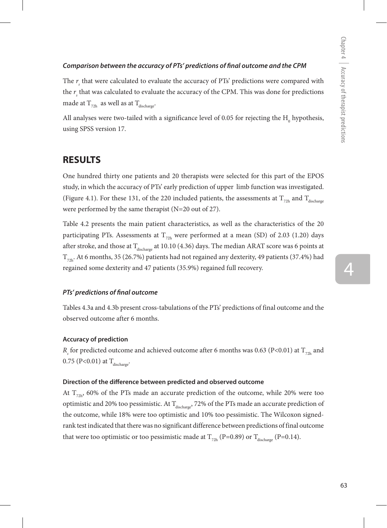#### *Comparison between the accuracy of PTs' predictions of final outcome and the CPM*

The  $r<sub>s</sub>$  that were calculated to evaluate the accuracy of PTs' predictions were compared with the  $r_{\rm s}$  that was calculated to evaluate the accuracy of the CPM. This was done for predictions made at  $T_{72h}$  as well as at  $T_{discharge}$ .

All analyses were two-tailed with a significance level of 0.05 for rejecting the  $\mathrm{H_{0}}$  hypothesis, using SPSS version 17.

## **RESULTS**

One hundred thirty one patients and 20 therapists were selected for this part of the EPOS study, in which the accuracy of PTs' early prediction of upper limb function was investigated. (Figure 4.1). For these 131, of the 220 included patients, the assessments at  $T_{72h}$  and  $T_{dischar}$ were performed by the same therapist (N=20 out of 27).

Table 4.2 presents the main patient characteristics, as well as the characteristics of the 20 participating PTs. Assessments at  $T_{72h}$  were performed at a mean (SD) of 2.03 (1.20) days after stroke, and those at  $T_{discharge}$  at 10.10 (4.36) days. The median ARAT score was 6 points at  $T_{22h}$ . At 6 months, 35 (26.7%) patients had not regained any dexterity, 49 patients (37.4%) had regained some dexterity and 47 patients (35.9%) regained full recovery.

#### *PTs' predictions of final outcome*

Tables 4.3a and 4.3b present cross-tabulations of the PTs' predictions of final outcome and the observed outcome after 6 months.

#### **Accuracy of prediction**

 $R_{\rm _s}$  for predicted outcome and achieved outcome after 6 months was 0.63 (P<0.01) at  $\rm T_{72h}$  and  $0.75$  (P<0.01) at  $T_{discharge}$ .

#### **Direction of the difference between predicted and observed outcome**

At  $T_{\text{22h}}$ , 60% of the PTs made an accurate prediction of the outcome, while 20% were too optimistic and 20% too pessimistic. At  $\rm T_{discharge},$  72% of the PTs made an accurate prediction of the outcome, while 18% were too optimistic and 10% too pessimistic. The Wilcoxon signedrank test indicated that there was no significant difference between predictions of final outcome that were too optimistic or too pessimistic made at  $T_{\text{22h}}$  (P=0.89) or  $T_{\text{discharge}}$  (P=0.14).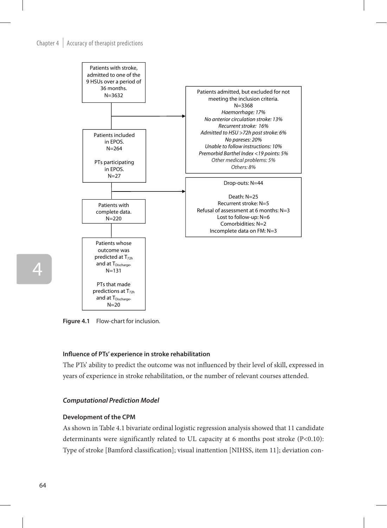# Chapter 4 Accuracy of therapist predictions **Figure 1: Flow-chart for inclusion**



**Figure 4.1** Flow-chart for inclusion.

# Influence of PTs' experience in stroke rehabilitation

The PTs' ability to predict the outcome was not influenced by their level of skill, expressed in years of experience in stroke rehabilitation, or the number of relevant courses attended.

#### *Computational Prediction Model*

#### **Development of the CPM**

As shown in Table 4.1 bivariate ordinal logistic regression analysis showed that 11 candidate determinants were significantly related to UL capacity at 6 months post stroke (P<0.10): Type of stroke [Bamford classification]; visual inattention [NIHSS, item 11]; deviation con-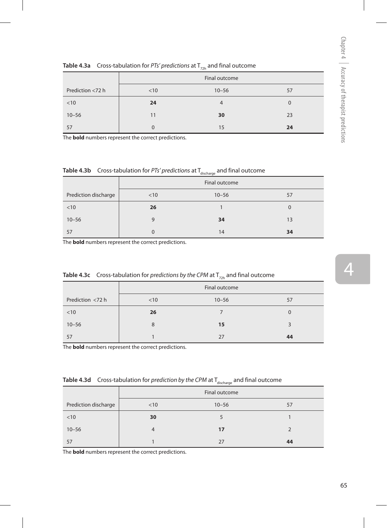4

| <b>Table 4.3a</b> Cross-tableation for Fis predictions at $\mathbf{r}_{\text{20k}}$ and mial outcome |      |               |    |  |  |  |  |  |  |
|------------------------------------------------------------------------------------------------------|------|---------------|----|--|--|--|--|--|--|
|                                                                                                      |      | Final outcome |    |  |  |  |  |  |  |
| Prediction <72 h                                                                                     | < 10 | $10 - 56$     | 57 |  |  |  |  |  |  |
| < 10                                                                                                 | 24   |               |    |  |  |  |  |  |  |
| $10 - 56$                                                                                            | 11   | 30            | 23 |  |  |  |  |  |  |
| 57                                                                                                   |      | 15            | 24 |  |  |  |  |  |  |

**Table 4.3a** Cross-tabulation for *PTs' predictions* at T<sub>2</sub> and final outcome

The **bold** numbers represent the correct predictions.

**Table 4.3b** Cross-tabulation for *PTs' predictions* at  $T_{\text{discharge}}$  and final outcome

|                      |      | Final outcome |    |
|----------------------|------|---------------|----|
| Prediction discharge | < 10 | $10 - 56$     | 57 |
| < 10                 | 26   |               |    |
| $10 - 56$            | 9    | 34            | 13 |
| 57                   | 0    | 14            | 34 |

The **bold** numbers represent the correct predictions.

| <b>Table 4.3c</b> Cross-tabulation for <i>predictions by the CPM</i> at $T_{\text{20h}}$ and final outcome |     |               |   |  |  |  |  |  |
|------------------------------------------------------------------------------------------------------------|-----|---------------|---|--|--|--|--|--|
|                                                                                                            |     | Final outcome |   |  |  |  |  |  |
| Prediction <72 h                                                                                           | <10 | $10 - 56$     |   |  |  |  |  |  |
| < 10                                                                                                       | 26  |               | O |  |  |  |  |  |
| $10 - 56$                                                                                                  |     | 15            |   |  |  |  |  |  |

57 1 27 **44**

The **bold** numbers represent the correct predictions.

|                      | Final outcome |           |    |  |  |  |
|----------------------|---------------|-----------|----|--|--|--|
| Prediction discharge | < 10          | $10 - 56$ | 57 |  |  |  |
| < 10                 | 30            |           |    |  |  |  |
| $10 - 56$            | 4             | 17        |    |  |  |  |
| 57                   |               | 27        | 44 |  |  |  |

**Table 4.3d** Cross-tabulation for *prediction by the CPM* at T<sub>discharge</sub> and final outcome

The **bold** numbers represent the correct predictions.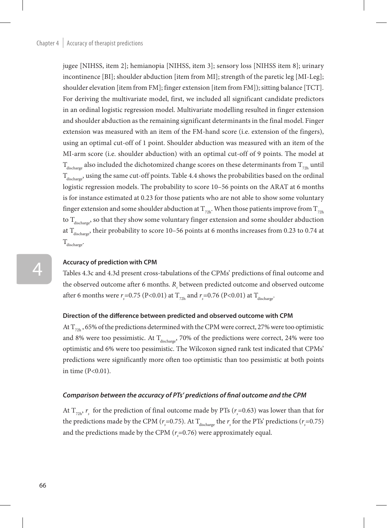jugee [NIHSS, item 2]; hemianopia [NIHSS, item 3]; sensory loss [NIHSS item 8]; urinary incontinence [BI]; shoulder abduction [item from MI]; strength of the paretic leg [MI-Leg]; shoulder elevation [item from FM]; finger extension [item from FM]); sitting balance [TCT]. For deriving the multivariate model, first, we included all significant candidate predictors in an ordinal logistic regression model. Multivariate modelling resulted in finger extension and shoulder abduction as the remaining significant determinants in the final model. Finger extension was measured with an item of the FM-hand score (i.e. extension of the fingers), using an optimal cut-off of 1 point. Shoulder abduction was measured with an item of the MI-arm score (i.e. shoulder abduction) with an optimal cut-off of 9 points. The model at  $T_{discharge}$  also included the dichotomized change scores on these determinants from  $T_{22h}$  until  $T_{discharge}$ , using the same cut-off points. Table 4.4 shows the probabilities based on the ordinal logistic regression models. The probability to score 10–56 points on the ARAT at 6 months is for instance estimated at 0.23 for those patients who are not able to show some voluntary finger extension and some shoulder abduction at  $T_{22h}$ . When those patients improve from  $T_{22h}$ to  $T_{discharge}$ , so that they show some voluntary finger extension and some shoulder abduction at  $T_{discharge}$ , their probability to score 10–56 points at 6 months increases from 0.23 to 0.74 at  $T_{discharge}$ 

#### **Accuracy of prediction with CPM**

Tables 4.3c and 4.3d present cross-tabulations of the CPMs' predictions of final outcome and the observed outcome after 6 months.  $R_{s}$  between predicted outcome and observed outcome after 6 months were  $r_s$ =0.75 (P<0.01) at  $T_{\text{2th}}$  and  $r_s$ =0.76 (P<0.01) at  $T_{\text{discharge}}$ .

#### **Direction of the difference between predicted and observed outcome with CPM**

At  $T_{72h}$ , 65% of the predictions determined with the CPM were correct, 27% were too optimistic and 8% were too pessimistic. At  $T_{\text{discharge}}$ , 70% of the predictions were correct, 24% were too optimistic and 6% were too pessimistic. The Wilcoxon signed rank test indicated that CPMs' predictions were significantly more often too optimistic than too pessimistic at both points in time (P<0.01).

#### *Comparison between the accuracy of PTs' predictions of final outcome and the CPM*

At  $T_{72h}$ ,  $r_s$  for the prediction of final outcome made by PTs ( $r_s$ =0.63) was lower than that for the predictions made by the CPM ( $r_s$ =0.75). At T<sub>discharge</sub> the  $r_s$  for the PTs' predictions ( $r_s$ =0.75) and the predictions made by the CPM  $(r_s=0.76)$  were approximately equal.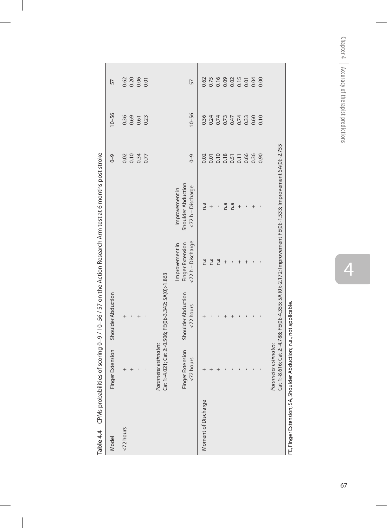|                                     | 57<br>$10 - 56$<br>$0 - 9$ | 0.62<br>0.36<br>0.69<br>0.10<br>0.02 | 0.26<br>0.06<br>0.61<br>0.34 | 0.23<br>0.77 |                                                        |                                      | 57<br>$10 - 56$<br>$0 - 9$            | 0.62<br>0.36<br>0.02 | 0.24   | 0.74 | $0.73$<br>$0.47$<br>0.01<br>0.10<br>0.51<br>0.11 |     | 0.74   | 0.33<br>0.66 | 0.60<br>0.36 | 0.10<br>0.90 |                                                                                                         |
|-------------------------------------|----------------------------|--------------------------------------|------------------------------|--------------|--------------------------------------------------------|--------------------------------------|---------------------------------------|----------------------|--------|------|--------------------------------------------------|-----|--------|--------------|--------------|--------------|---------------------------------------------------------------------------------------------------------|
|                                     |                            |                                      |                              |              |                                                        | Shoulder Abduction<br>Improvement in | <72 h - Discharge                     | n.a                  | $^{+}$ | I    | n.a                                              | n.a | $^{+}$ |              |              |              | 1:-8.616; Cat 2:-4.788; FE(0):-4.355: SA (0):-2.172; Improvement FE(0):-1.533; Improvement SA(0):-2.755 |
|                                     |                            |                                      |                              |              |                                                        | Improvement in                       | <72 h - Discharge<br>Finger Extension | n.a                  | n.a    | n.a  |                                                  |     |        |              |              |              |                                                                                                         |
|                                     | Shoulder Abduction         |                                      |                              |              | Cat 1:-4.021; Cat 2:-0.506; FE(0):-3.342: SA(0):-1.863 | Shoulder Abduction                   | $<$ 72 hours                          | $\ddagger$           |        |      |                                                  |     |        |              |              |              |                                                                                                         |
| .<br>ת<br> <br> <br> <br> <br> <br> | Finger Extension           | $\ddot{}$                            |                              |              | Parameter estimates:                                   |                                      | Finger Extension<br><72 hours         | $\ddot{}$            |        |      |                                                  |     |        |              |              |              | Parameter estimates:<br>Cat                                                                             |
|                                     | Model                      | <72 hours                            |                              |              |                                                        |                                      |                                       | Moment of Discharge  |        |      |                                                  |     |        |              |              |              |                                                                                                         |

Table 4.4 CPMs probabilities of scoring 0-9 / 10-56 / 57 on the Action Research Arm test at 6 months post stroke **Table 4.4** CPMs probabilities of scoring 0–9 / 10–56 / 57 on the Action Research Arm test at 6 months post stroke

FE, Finger Extension; SA, Shoulder Abduction; n.a., not applicable. FE, Finger Extension; SA, Shoulder Abduction; n.a., not applicable.

Chapter 4 | Accuracy of therapist predictions Chapter 4  $\,$  Accuracy of therapist predictions

 $\overline{4}$  $\frac{4}{100}$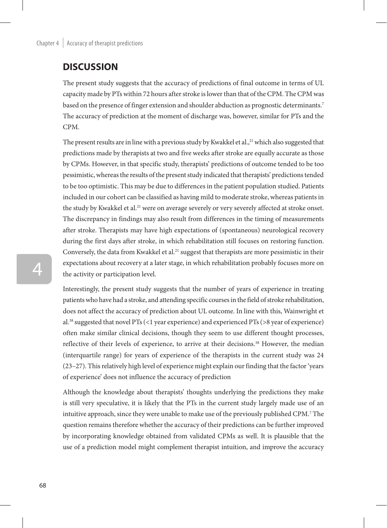## **DISCUSSION**

The present study suggests that the accuracy of predictions of final outcome in terms of UL capacity made by PTs within 72 hours after stroke is lower than that of the CPM. The CPM was based on the presence of finger extension and shoulder abduction as prognostic determinants.7 The accuracy of prediction at the moment of discharge was, however, similar for PTs and the CPM.

The present results are in line with a previous study by Kwakkel et al., $^{21}$  which also suggested that predictions made by therapists at two and five weeks after stroke are equally accurate as those by CPMs. However, in that specific study, therapists' predictions of outcome tended to be too pessimistic, whereas the results of the present study indicated that therapists' predictions tended to be too optimistic. This may be due to differences in the patient population studied. Patients included in our cohort can be classified as having mild to moderate stroke, whereas patients in the study by Kwakkel et al.<sup>21</sup> were on average severely or very severely affected at stroke onset. The discrepancy in findings may also result from differences in the timing of measurements after stroke. Therapists may have high expectations of (spontaneous) neurological recovery during the first days after stroke, in which rehabilitation still focuses on restoring function. Conversely, the data from Kwakkel et al.<sup>21</sup> suggest that therapists are more pessimistic in their expectations about recovery at a later stage, in which rehabilitation probably focuses more on the activity or participation level.

Interestingly, the present study suggests that the number of years of experience in treating patients who have had a stroke, and attending specific courses in the field of stroke rehabilitation, does not affect the accuracy of prediction about UL outcome. In line with this, Wainwright et al.38 suggested that novel PTs (<1 year experience) and experienced PTs (>8 year of experience) often make similar clinical decisions, though they seem to use different thought processes, reflective of their levels of experience, to arrive at their decisions.38 However, the median (interquartile range) for years of experience of the therapists in the current study was 24 (23–27). This relatively high level of experience might explain our finding that the factor 'years of experience' does not influence the accuracy of prediction

Although the knowledge about therapists' thoughts underlying the predictions they make is still very speculative, it is likely that the PTs in the current study largely made use of an intuitive approach, since they were unable to make use of the previously published CPM.7 The question remains therefore whether the accuracy of their predictions can be further improved by incorporating knowledge obtained from validated CPMs as well. It is plausible that the use of a prediction model might complement therapist intuition, and improve the accuracy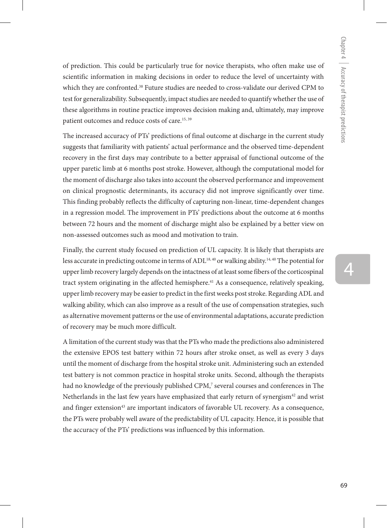of prediction. This could be particularly true for novice therapists, who often make use of scientific information in making decisions in order to reduce the level of uncertainty with which they are confronted.<sup>38</sup> Future studies are needed to cross-validate our derived CPM to test for generalizability. Subsequently, impact studies are needed to quantify whether the use of these algorithms in routine practice improves decision making and, ultimately, may improve patient outcomes and reduce costs of care.15, 39

The increased accuracy of PTs' predictions of final outcome at discharge in the current study suggests that familiarity with patients' actual performance and the observed time-dependent recovery in the first days may contribute to a better appraisal of functional outcome of the upper paretic limb at 6 months post stroke. However, although the computational model for the moment of discharge also takes into account the observed performance and improvement on clinical prognostic determinants, its accuracy did not improve significantly over time. This finding probably reflects the difficulty of capturing non-linear, time-dependent changes in a regression model. The improvement in PTs' predictions about the outcome at 6 months between 72 hours and the moment of discharge might also be explained by a better view on non-assessed outcomes such as mood and motivation to train.

Finally, the current study focused on prediction of UL capacity. It is likely that therapists are less accurate in predicting outcome in terms of ADL<sup>18, 40</sup> or walking ability.<sup>14, 40</sup> The potential for upper limb recovery largely depends on the intactness of at least some fibers of the corticospinal tract system originating in the affected hemisphere.<sup>41</sup> As a consequence, relatively speaking, upper limb recovery may be easier to predict in the first weeks post stroke. Regarding ADL and walking ability, which can also improve as a result of the use of compensation strategies, such as alternative movement patterns or the use of environmental adaptations, accurate prediction of recovery may be much more difficult.

A limitation of the current study was that the PTs who made the predictions also administered the extensive EPOS test battery within 72 hours after stroke onset, as well as every 3 days until the moment of discharge from the hospital stroke unit. Administering such an extended test battery is not common practice in hospital stroke units. Second, although the therapists had no knowledge of the previously published CPM,<sup>7</sup> several courses and conferences in The Netherlands in the last few years have emphasized that early return of synergism<sup>42</sup> and wrist and finger extension<sup>43</sup> are important indicators of favorable UL recovery. As a consequence, the PTs were probably well aware of the predictability of UL capacity. Hence, it is possible that the accuracy of the PTs' predictions was influenced by this information.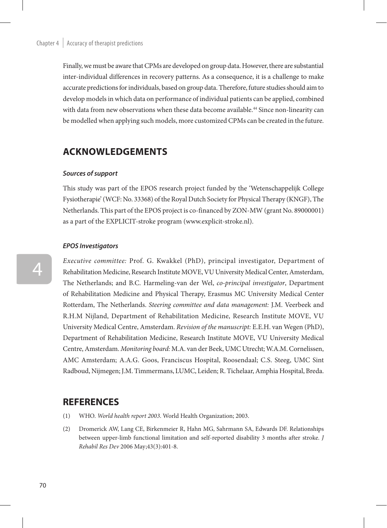Finally, we must be aware that CPMs are developed on group data. However, there are substantial inter-individual differences in recovery patterns. As a consequence, it is a challenge to make accurate predictions for individuals, based on group data. Therefore, future studies should aim to develop models in which data on performance of individual patients can be applied, combined with data from new observations when these data become available.<sup>44</sup> Since non-linearity can be modelled when applying such models, more customized CPMs can be created in the future.

## **Acknowledgements**

#### *Sources of support*

This study was part of the EPOS research project funded by the 'Wetenschappelijk College Fysiotherapie' (WCF: No. 33368) of the Royal Dutch Society for Physical Therapy (KNGF), The Netherlands. This part of the EPOS project is co-financed by ZON-MW (grant No. 89000001) as a part of the EXPLICIT-stroke program (www.explicit-stroke.nl).

#### *EPOS Investigators*

*Executive committee:* Prof. G. Kwakkel (PhD), principal investigator, Department of Rehabilitation Medicine, Research Institute MOVE, VU University Medical Center, Amsterdam, The Netherlands; and B.C. Harmeling-van der Wel, *co-principal investigator*, Department of Rehabilitation Medicine and Physical Therapy, Erasmus MC University Medical Center Rotterdam, The Netherlands. *Steering committee and data management:* J.M. Veerbeek and R.H.M Nijland, Department of Rehabilitation Medicine, Research Institute MOVE, VU University Medical Centre, Amsterdam. *Revision of the manuscript:* E.E.H. van Wegen (PhD), Department of Rehabilitation Medicine, Research Institute MOVE, VU University Medical Centre, Amsterdam. *Monitoring board:* M.A. van der Beek, UMC Utrecht; W.A.M. Cornelissen, AMC Amsterdam; A.A.G. Goos, Franciscus Hospital, Roosendaal; C.S. Steeg, UMC Sint Radboud, Nijmegen; J.M. Timmermans, LUMC, Leiden; R. Tichelaar, Amphia Hospital, Breda.

## **REFERENCES**

- (1) WHO. *World health report 2003*. World Health Organization; 2003.
- (2) Dromerick AW, Lang CE, Birkenmeier R, Hahn MG, Sahrmann SA, Edwards DF. Relationships between upper-limb functional limitation and self-reported disability 3 months after stroke. *J Rehabil Res Dev* 2006 May;43(3):401-8.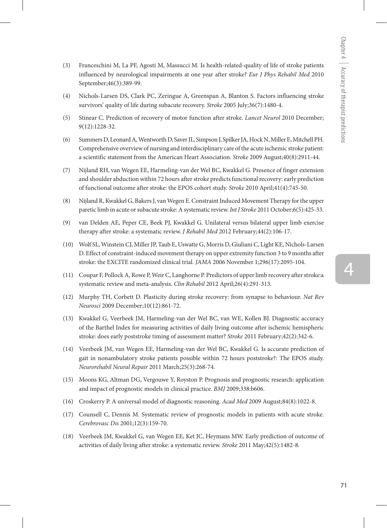- (3) Franceschini M, La PF, Agosti M, Massucci M. Is health-related-quality of life of stroke patients influenced by neurological impairments at one year after stroke? *Eur J Phys Rehabil Med* 2010 September;46(3):389-99.
- (4) Nichols-Larsen DS, Clark PC, Zeringue A, Greenspan A, Blanton S. Factors influencing stroke survivors' quality of life during subacute recovery. *Stroke* 2005 July;36(7):1480-4.
- (5) Stinear C. Prediction of recovery of motor function after stroke. *Lancet Neurol* 2010 December; 9(12):1228-32.
- (6) Summers D, Leonard A, Wentworth D, Saver JL, Simpson J, Spilker JA, Hock N, Miller E, Mitchell PH. Comprehensive overview of nursing and interdisciplinary care of the acute ischemic stroke patient: a scientific statement from the American Heart Association. *Stroke* 2009 August;40(8):2911-44.
- (7) Nijland RH, van Wegen EE, Harmeling-van der Wel BC, Kwakkel G. Presence of finger extension and shoulder abduction within 72 hours after stroke predicts functional recovery: early prediction of functional outcome after stroke: the EPOS cohort study. *Stroke* 2010 April;41(4):745-50.
- (8) Nijland R, Kwakkel G, Bakers J, van Wegen E. Constraint Induced Movement Therapy for the upper paretic limb in acute or subacute stroke: A systematic review. *Int J Stroke* 2011 October;6(5):425-33.
- (9) van Delden AE, Peper CE, Beek PJ, Kwakkel G. Unilateral versus bilateral upper limb exercise therapy after stroke: a systematic review. *J Rehabil Med* 2012 February;44(2):106-17.
- (10) Wolf SL, Winstein CJ, Miller JP, Taub E, Uswatte G, Morris D, Giuliani C, Light KE, Nichols-Larsen D. Effect of constraint-induced movement therapy on upper extremity function 3 to 9 months after stroke: the EXCITE randomized clinical trial. *JAMA* 2006 November 1;296(17):2095-104.
- (11) Coupar F, Pollock A, Rowe P, Weir C, Langhorne P. Predictors of upper limb recovery after stroke:a systematic review and meta-analysis. *Clin Rehabil* 2012 April;26(4):291-313.
- (12) Murphy TH, Corbett D. Plasticity during stroke recovery: from synapse to behaviour. *Nat Rev Neurosci* 2009 December;10(12):861-72.
- (13) Kwakkel G, Veerbeek JM, Harmeling-van der Wel BC, van WE, Kollen BJ. Diagnostic accuracy of the Barthel Index for measuring activities of daily living outcome after ischemic hemispheric stroke: does early poststroke timing of assessment matter? *Stroke* 2011 February;42(2):342-6.
- (14) Veerbeek JM, van Wegen EE, Harmeling-van der Wel BC, Kwakkel G. Is accurate prediction of gait in nonambulatory stroke patients possible within 72 hours poststroke?: The EPOS study. *Neurorehabil Neural Repair* 2011 March;25(3):268-74.
- (15) Moons KG, Altman DG, Vergouwe Y, Royston P. Prognosis and prognostic research: application and impact of prognostic models in clinical practice. *BMJ* 2009;338:b606.
- (16) Croskerry P. A universal model of diagnostic reasoning. *Acad Med* 2009 August;84(8):1022-8.
- (17) Counsell C, Dennis M. Systematic review of prognostic models in patients with acute stroke. *Cerebrovasc Dis* 2001;12(3):159-70.
- (18) Veerbeek JM, Kwakkel G, van Wegen EE, Ket JC, Heymans MW. Early prediction of outcome of activities of daily living after stroke: a systematic review. *Stroke* 2011 May;42(5):1482-8.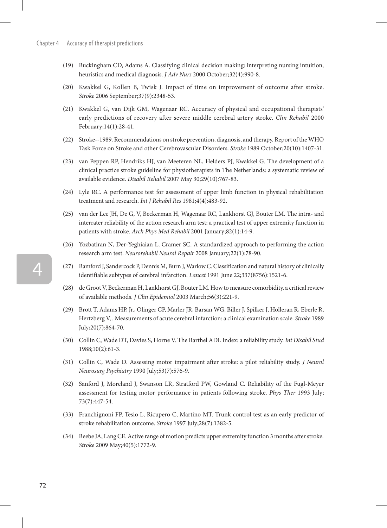- (19) Buckingham CD, Adams A. Classifying clinical decision making: interpreting nursing intuition, heuristics and medical diagnosis. *J Adv Nurs* 2000 October;32(4):990-8.
- (20) Kwakkel G, Kollen B, Twisk J. Impact of time on improvement of outcome after stroke. *Stroke* 2006 September;37(9):2348-53.
- (21) Kwakkel G, van Dijk GM, Wagenaar RC. Accuracy of physical and occupational therapists' early predictions of recovery after severe middle cerebral artery stroke. *Clin Rehabil* 2000 February;14(1):28-41.
- (22) Stroke--1989. Recommendations on stroke prevention, diagnosis, and therapy. Report of the WHO Task Force on Stroke and other Cerebrovascular Disorders. *Stroke* 1989 October;20(10):1407-31.
- (23) van Peppen RP, Hendriks HJ, van Meeteren NL, Helders PJ, Kwakkel G. The development of a clinical practice stroke guideline for physiotherapists in The Netherlands: a systematic review of available evidence. *Disabil Rehabil* 2007 May 30;29(10):767-83.
- (24) Lyle RC. A performance test for assessment of upper limb function in physical rehabilitation treatment and research. *Int J Rehabil Res* 1981;4(4):483-92.
- (25) van der Lee JH, De G, V, Beckerman H, Wagenaar RC, Lankhorst GJ, Bouter LM. The intra- and interrater reliability of the action research arm test: a practical test of upper extremity function in patients with stroke. *Arch Phys Med Rehabil* 2001 January;82(1):14-9.
- (26) Yozbatiran N, Der-Yeghiaian L, Cramer SC. A standardized approach to performing the action research arm test. *Neurorehabil Neural Repair* 2008 January;22(1):78-90.
- (27) Bamford J, Sandercock P, Dennis M, Burn J, Warlow C. Classification and natural history of clinically identifiable subtypes of cerebral infarction. *Lancet* 1991 June 22;337(8756):1521-6.
- (28) de Groot V, Beckerman H, Lankhorst GJ, Bouter LM. How to measure comorbidity. a critical review of available methods. *J Clin Epidemiol* 2003 March;56(3):221-9.
- (29) Brott T, Adams HP, Jr., Olinger CP, Marler JR, Barsan WG, Biller J, Spilker J, Holleran R, Eberle R, Hertzberg V, . Measurements of acute cerebral infarction: a clinical examination scale. *Stroke* 1989 July;20(7):864-70.
- (30) Collin C, Wade DT, Davies S, Horne V. The Barthel ADL Index: a reliability study. *Int Disabil Stud*  1988;10(2):61-3.
- (31) Collin C, Wade D. Assessing motor impairment after stroke: a pilot reliability study. *J Neurol Neurosurg Psychiatry* 1990 July;53(7):576-9.
- (32) Sanford J, Moreland J, Swanson LR, Stratford PW, Gowland C. Reliability of the Fugl-Meyer assessment for testing motor performance in patients following stroke. *Phys Ther* 1993 July; 73(7):447-54.
- (33) Franchignoni FP, Tesio L, Ricupero C, Martino MT. Trunk control test as an early predictor of stroke rehabilitation outcome. *Stroke* 1997 July;28(7):1382-5.
- (34) Beebe JA, Lang CE. Active range of motion predicts upper extremity function 3 months after stroke. *Stroke* 2009 May;40(5):1772-9.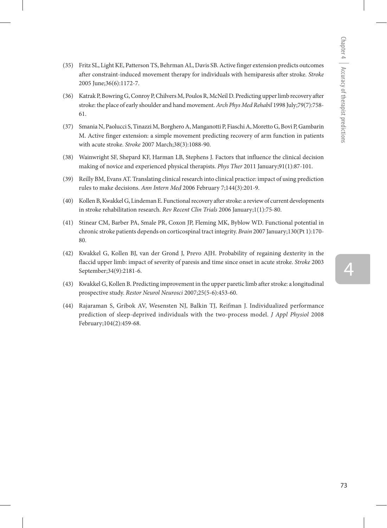- (35) Fritz SL, Light KE, Patterson TS, Behrman AL, Davis SB. Active finger extension predicts outcomes after constraint-induced movement therapy for individuals with hemiparesis after stroke. *Stroke* 2005 June;36(6):1172-7.
- (36) Katrak P, Bowring G, Conroy P, Chilvers M, Poulos R, McNeil D. Predicting upper limb recovery after stroke: the place of early shoulder and hand movement. *Arch Phys Med Rehabil* 1998 July;79(7):758- 61.
- (37) Smania N, Paolucci S, Tinazzi M, Borghero A, Manganotti P, Fiaschi A, Moretto G, Bovi P, Gambarin M. Active finger extension: a simple movement predicting recovery of arm function in patients with acute stroke. *Stroke* 2007 March;38(3):1088-90.
- (38) Wainwright SF, Shepard KF, Harman LB, Stephens J. Factors that influence the clinical decision making of novice and experienced physical therapists. *Phys Ther* 2011 January;91(1):87-101.
- (39) Reilly BM, Evans AT. Translating clinical research into clinical practice: impact of using prediction rules to make decisions. *Ann Intern Med* 2006 February 7;144(3):201-9.
- (40) Kollen B, Kwakkel G, Lindeman E. Functional recovery after stroke: a review of current developments in stroke rehabilitation research. *Rev Recent Clin Trials* 2006 January;1(1):75-80.
- (41) Stinear CM, Barber PA, Smale PR, Coxon JP, Fleming MK, Byblow WD. Functional potential in chronic stroke patients depends on corticospinal tract integrity. *Brain* 2007 January;130(Pt 1):170- 80.
- (42) Kwakkel G, Kollen BJ, van der Grond J, Prevo AJH. Probability of regaining dexterity in the flaccid upper limb: impact of severity of paresis and time since onset in acute stroke. *Stroke* 2003 September;34(9):2181-6.
- (43) Kwakkel G, Kollen B. Predicting improvement in the upper paretic limb after stroke: a longitudinal prospective study. *Restor Neurol Neurosci* 2007;25(5-6):453-60.
- (44) Rajaraman S, Gribok AV, Wesensten NJ, Balkin TJ, Reifman J. Individualized performance prediction of sleep-deprived individuals with the two-process model. *J Appl Physiol* 2008 February;104(2):459-68.